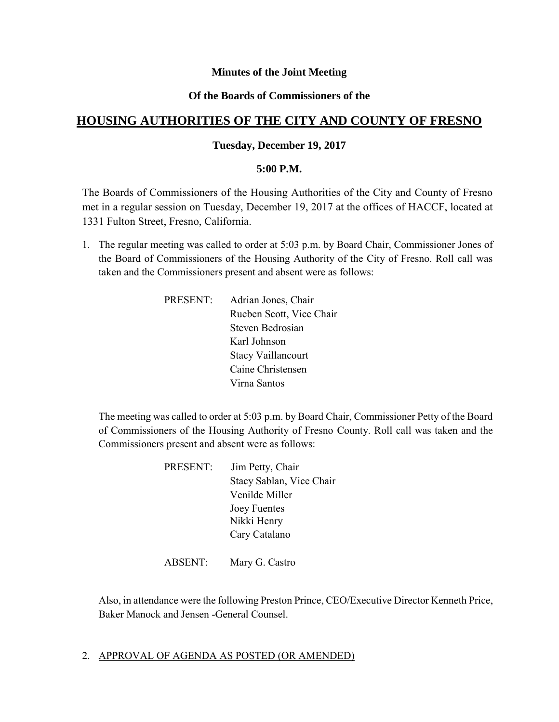### **Minutes of the Joint Meeting**

### **Of the Boards of Commissioners of the**

# **HOUSING AUTHORITIES OF THE CITY AND COUNTY OF FRESNO**

### **Tuesday, December 19, 2017**

### **5:00 P.M.**

The Boards of Commissioners of the Housing Authorities of the City and County of Fresno met in a regular session on Tuesday, December 19, 2017 at the offices of HACCF, located at 1331 Fulton Street, Fresno, California.

- 1. The regular meeting was called to order at 5:03 p.m. by Board Chair, Commissioner Jones of the Board of Commissioners of the Housing Authority of the City of Fresno. Roll call was taken and the Commissioners present and absent were as follows:
	- PRESENT: Adrian Jones, Chair Rueben Scott, Vice Chair Steven Bedrosian Karl Johnson Stacy Vaillancourt Caine Christensen Virna Santos

The meeting was called to order at 5:03 p.m. by Board Chair, Commissioner Petty of the Board of Commissioners of the Housing Authority of Fresno County. Roll call was taken and the Commissioners present and absent were as follows:

| Jim Petty, Chair         |
|--------------------------|
| Stacy Sablan, Vice Chair |
| Venilde Miller           |
| <b>Joey Fuentes</b>      |
| Nikki Henry              |
| Cary Catalano            |
|                          |

ABSENT: Mary G. Castro

Also, in attendance were the following Preston Prince, CEO/Executive Director Kenneth Price, Baker Manock and Jensen -General Counsel.

### 2. APPROVAL OF AGENDA AS POSTED (OR AMENDED)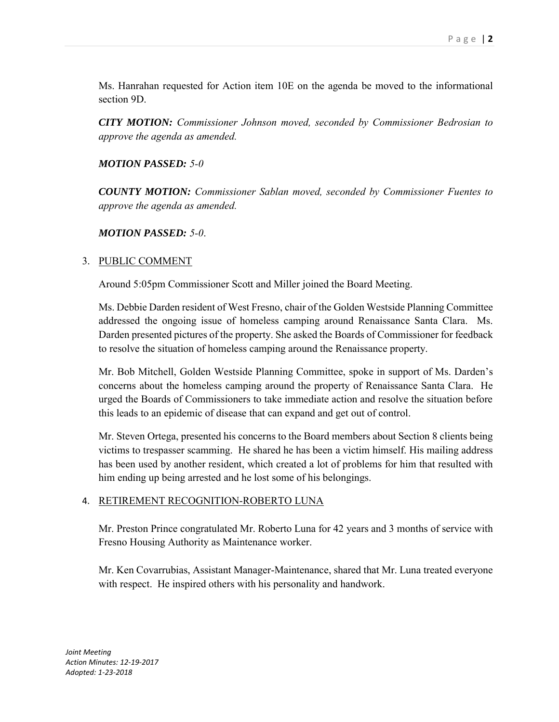Ms. Hanrahan requested for Action item 10E on the agenda be moved to the informational section 9D.

*CITY MOTION: Commissioner Johnson moved, seconded by Commissioner Bedrosian to approve the agenda as amended.*

### *MOTION PASSED: 5-0*

*COUNTY MOTION: Commissioner Sablan moved, seconded by Commissioner Fuentes to approve the agenda as amended.*

# *MOTION PASSED: 5-0*.

# 3. PUBLIC COMMENT

Around 5:05pm Commissioner Scott and Miller joined the Board Meeting.

Ms. Debbie Darden resident of West Fresno, chair of the Golden Westside Planning Committee addressed the ongoing issue of homeless camping around Renaissance Santa Clara. Ms. Darden presented pictures of the property. She asked the Boards of Commissioner for feedback to resolve the situation of homeless camping around the Renaissance property.

Mr. Bob Mitchell, Golden Westside Planning Committee, spoke in support of Ms. Darden's concerns about the homeless camping around the property of Renaissance Santa Clara. He urged the Boards of Commissioners to take immediate action and resolve the situation before this leads to an epidemic of disease that can expand and get out of control.

Mr. Steven Ortega, presented his concerns to the Board members about Section 8 clients being victims to trespasser scamming. He shared he has been a victim himself. His mailing address has been used by another resident, which created a lot of problems for him that resulted with him ending up being arrested and he lost some of his belongings.

### 4. RETIREMENT RECOGNITION-ROBERTO LUNA

Mr. Preston Prince congratulated Mr. Roberto Luna for 42 years and 3 months of service with Fresno Housing Authority as Maintenance worker.

Mr. Ken Covarrubias, Assistant Manager-Maintenance, shared that Mr. Luna treated everyone with respect. He inspired others with his personality and handwork.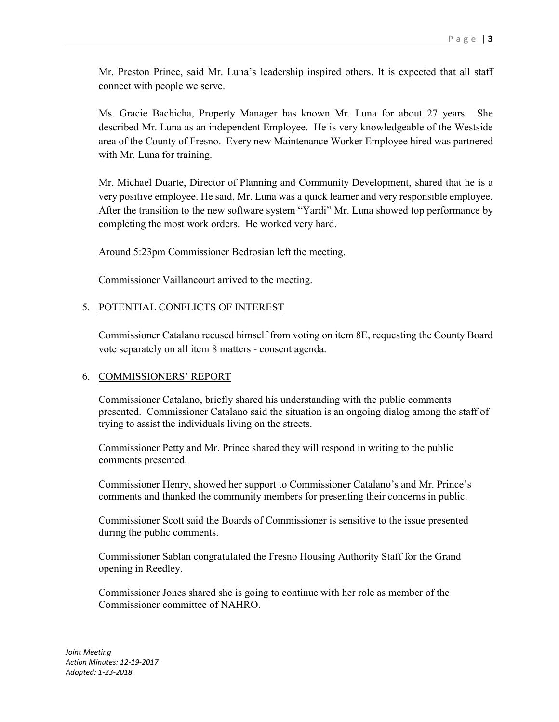Mr. Preston Prince, said Mr. Luna's leadership inspired others. It is expected that all staff connect with people we serve.

Ms. Gracie Bachicha, Property Manager has known Mr. Luna for about 27 years. She described Mr. Luna as an independent Employee. He is very knowledgeable of the Westside area of the County of Fresno. Every new Maintenance Worker Employee hired was partnered with Mr. Luna for training.

Mr. Michael Duarte, Director of Planning and Community Development, shared that he is a very positive employee. He said, Mr. Luna was a quick learner and very responsible employee. After the transition to the new software system "Yardi" Mr. Luna showed top performance by completing the most work orders. He worked very hard.

Around 5:23pm Commissioner Bedrosian left the meeting.

Commissioner Vaillancourt arrived to the meeting.

### 5. POTENTIAL CONFLICTS OF INTEREST

Commissioner Catalano recused himself from voting on item 8E, requesting the County Board vote separately on all item 8 matters - consent agenda.

#### 6. COMMISSIONERS' REPORT

Commissioner Catalano, briefly shared his understanding with the public comments presented. Commissioner Catalano said the situation is an ongoing dialog among the staff of trying to assist the individuals living on the streets.

Commissioner Petty and Mr. Prince shared they will respond in writing to the public comments presented.

Commissioner Henry, showed her support to Commissioner Catalano's and Mr. Prince's comments and thanked the community members for presenting their concerns in public.

Commissioner Scott said the Boards of Commissioner is sensitive to the issue presented during the public comments.

Commissioner Sablan congratulated the Fresno Housing Authority Staff for the Grand opening in Reedley.

Commissioner Jones shared she is going to continue with her role as member of the Commissioner committee of NAHRO.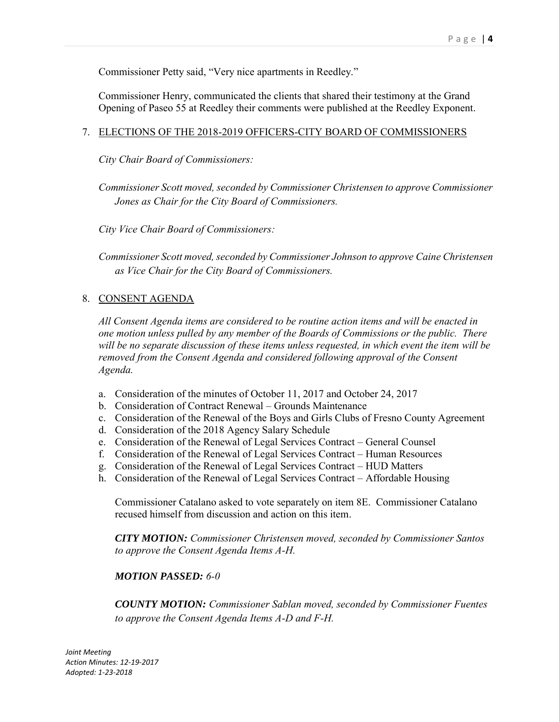Commissioner Petty said, "Very nice apartments in Reedley."

Commissioner Henry, communicated the clients that shared their testimony at the Grand Opening of Paseo 55 at Reedley their comments were published at the Reedley Exponent.

### 7. ELECTIONS OF THE 2018-2019 OFFICERS-CITY BOARD OF COMMISSIONERS

*City Chair Board of Commissioners:* 

*Commissioner Scott moved, seconded by Commissioner Christensen to approve Commissioner Jones as Chair for the City Board of Commissioners.*

*City Vice Chair Board of Commissioners:*

*Commissioner Scott moved, seconded by Commissioner Johnson to approve Caine Christensen as Vice Chair for the City Board of Commissioners.*

### 8. CONSENT AGENDA

*All Consent Agenda items are considered to be routine action items and will be enacted in one motion unless pulled by any member of the Boards of Commissions or the public. There will be no separate discussion of these items unless requested, in which event the item will be removed from the Consent Agenda and considered following approval of the Consent Agenda.*

- a. Consideration of the minutes of October 11, 2017 and October 24, 2017
- b. Consideration of Contract Renewal Grounds Maintenance
- c. Consideration of the Renewal of the Boys and Girls Clubs of Fresno County Agreement
- d. Consideration of the 2018 Agency Salary Schedule
- e. Consideration of the Renewal of Legal Services Contract General Counsel
- f. Consideration of the Renewal of Legal Services Contract Human Resources
- g. Consideration of the Renewal of Legal Services Contract HUD Matters
- h. Consideration of the Renewal of Legal Services Contract Affordable Housing

Commissioner Catalano asked to vote separately on item 8E. Commissioner Catalano recused himself from discussion and action on this item.

*CITY MOTION: Commissioner Christensen moved, seconded by Commissioner Santos to approve the Consent Agenda Items A-H.*

### *MOTION PASSED: 6-0*

*COUNTY MOTION: Commissioner Sablan moved, seconded by Commissioner Fuentes to approve the Consent Agenda Items A-D and F-H.*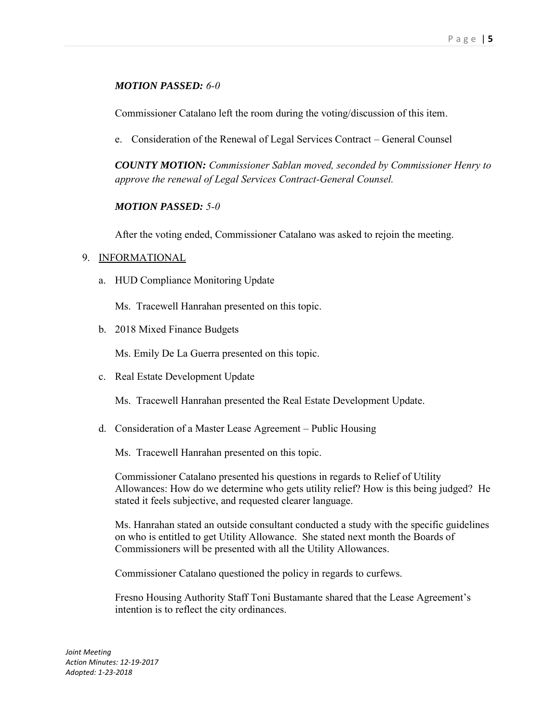### *MOTION PASSED: 6-0*

Commissioner Catalano left the room during the voting/discussion of this item.

e. Consideration of the Renewal of Legal Services Contract – General Counsel

*COUNTY MOTION: Commissioner Sablan moved, seconded by Commissioner Henry to approve the renewal of Legal Services Contract-General Counsel.*

### *MOTION PASSED: 5-0*

After the voting ended, Commissioner Catalano was asked to rejoin the meeting.

#### 9. INFORMATIONAL

a. HUD Compliance Monitoring Update

Ms. Tracewell Hanrahan presented on this topic.

b. 2018 Mixed Finance Budgets

Ms. Emily De La Guerra presented on this topic.

c. Real Estate Development Update

Ms. Tracewell Hanrahan presented the Real Estate Development Update.

d. Consideration of a Master Lease Agreement – Public Housing

Ms. Tracewell Hanrahan presented on this topic.

Commissioner Catalano presented his questions in regards to Relief of Utility Allowances: How do we determine who gets utility relief? How is this being judged? He stated it feels subjective, and requested clearer language.

Ms. Hanrahan stated an outside consultant conducted a study with the specific guidelines on who is entitled to get Utility Allowance. She stated next month the Boards of Commissioners will be presented with all the Utility Allowances.

Commissioner Catalano questioned the policy in regards to curfews.

Fresno Housing Authority Staff Toni Bustamante shared that the Lease Agreement's intention is to reflect the city ordinances.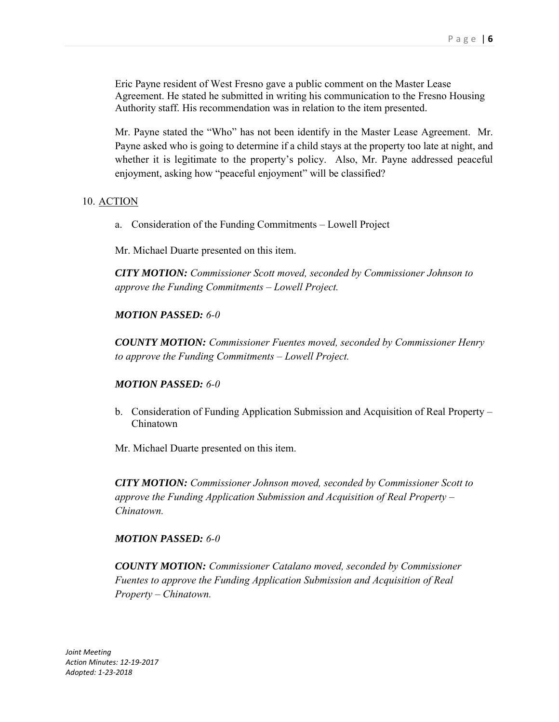Eric Payne resident of West Fresno gave a public comment on the Master Lease Agreement. He stated he submitted in writing his communication to the Fresno Housing Authority staff. His recommendation was in relation to the item presented.

Mr. Payne stated the "Who" has not been identify in the Master Lease Agreement. Mr. Payne asked who is going to determine if a child stays at the property too late at night, and whether it is legitimate to the property's policy. Also, Mr. Payne addressed peaceful enjoyment, asking how "peaceful enjoyment" will be classified?

#### 10. ACTION

a. Consideration of the Funding Commitments – Lowell Project

Mr. Michael Duarte presented on this item.

*CITY MOTION: Commissioner Scott moved, seconded by Commissioner Johnson to approve the Funding Commitments – Lowell Project.*

### *MOTION PASSED: 6-0*

*COUNTY MOTION: Commissioner Fuentes moved, seconded by Commissioner Henry to approve the Funding Commitments – Lowell Project.*

#### *MOTION PASSED: 6-0*

b. Consideration of Funding Application Submission and Acquisition of Real Property – Chinatown

Mr. Michael Duarte presented on this item.

*CITY MOTION: Commissioner Johnson moved, seconded by Commissioner Scott to approve the Funding Application Submission and Acquisition of Real Property – Chinatown.*

#### *MOTION PASSED: 6-0*

*COUNTY MOTION: Commissioner Catalano moved, seconded by Commissioner Fuentes to approve the Funding Application Submission and Acquisition of Real Property – Chinatown.*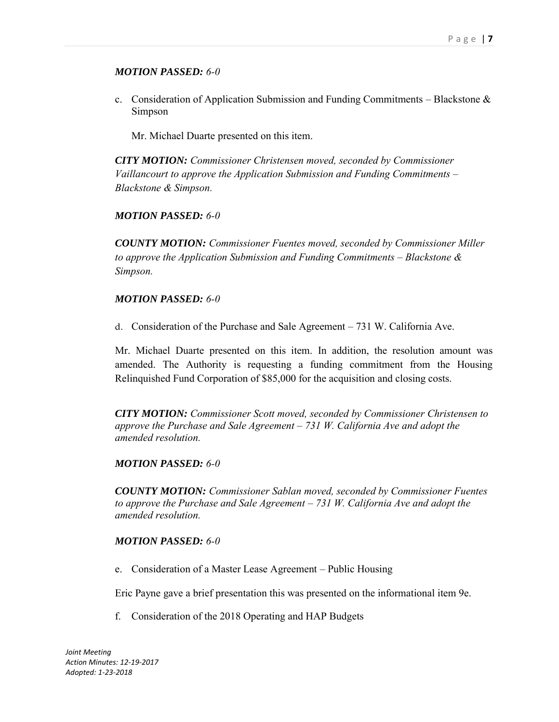### *MOTION PASSED: 6-0*

c. Consideration of Application Submission and Funding Commitments – Blackstone  $\&$ Simpson

Mr. Michael Duarte presented on this item.

*CITY MOTION: Commissioner Christensen moved, seconded by Commissioner Vaillancourt to approve the Application Submission and Funding Commitments – Blackstone & Simpson.*

### *MOTION PASSED: 6-0*

*COUNTY MOTION: Commissioner Fuentes moved, seconded by Commissioner Miller to approve the Application Submission and Funding Commitments – Blackstone & Simpson.*

### *MOTION PASSED: 6-0*

d. Consideration of the Purchase and Sale Agreement – 731 W. California Ave.

Mr. Michael Duarte presented on this item. In addition, the resolution amount was amended. The Authority is requesting a funding commitment from the Housing Relinquished Fund Corporation of \$85,000 for the acquisition and closing costs.

*CITY MOTION: Commissioner Scott moved, seconded by Commissioner Christensen to approve the Purchase and Sale Agreement – 731 W. California Ave and adopt the amended resolution.*

#### *MOTION PASSED: 6-0*

*COUNTY MOTION: Commissioner Sablan moved, seconded by Commissioner Fuentes to approve the Purchase and Sale Agreement – 731 W. California Ave and adopt the amended resolution.*

### *MOTION PASSED: 6-0*

e. Consideration of a Master Lease Agreement – Public Housing

Eric Payne gave a brief presentation this was presented on the informational item 9e.

f. Consideration of the 2018 Operating and HAP Budgets

*Joint Meeting Action Minutes: 12-19-2017 Adopted: 1-23-2018*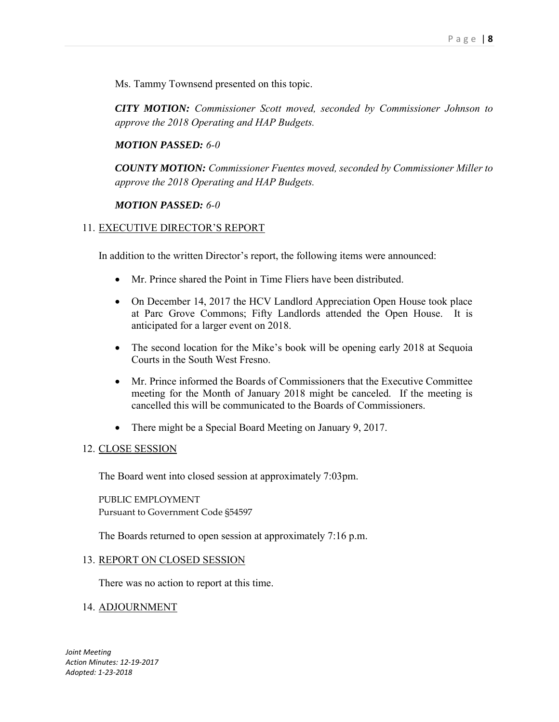Ms. Tammy Townsend presented on this topic.

*CITY MOTION: Commissioner Scott moved, seconded by Commissioner Johnson to approve the 2018 Operating and HAP Budgets.*

#### *MOTION PASSED: 6-0*

*COUNTY MOTION: Commissioner Fuentes moved, seconded by Commissioner Miller to approve the 2018 Operating and HAP Budgets.*

#### *MOTION PASSED: 6-0*

#### 11. EXECUTIVE DIRECTOR'S REPORT

In addition to the written Director's report, the following items were announced:

- Mr. Prince shared the Point in Time Fliers have been distributed.
- On December 14, 2017 the HCV Landlord Appreciation Open House took place at Parc Grove Commons; Fifty Landlords attended the Open House. It is anticipated for a larger event on 2018.
- The second location for the Mike's book will be opening early 2018 at Sequoia Courts in the South West Fresno.
- Mr. Prince informed the Boards of Commissioners that the Executive Committee meeting for the Month of January 2018 might be canceled. If the meeting is cancelled this will be communicated to the Boards of Commissioners.
- There might be a Special Board Meeting on January 9, 2017.

#### 12. CLOSE SESSION

The Board went into closed session at approximately 7:03pm.

PUBLIC EMPLOYMENT Pursuant to Government Code §54597

The Boards returned to open session at approximately 7:16 p.m.

#### 13. REPORT ON CLOSED SESSION

There was no action to report at this time.

#### 14. ADJOURNMENT